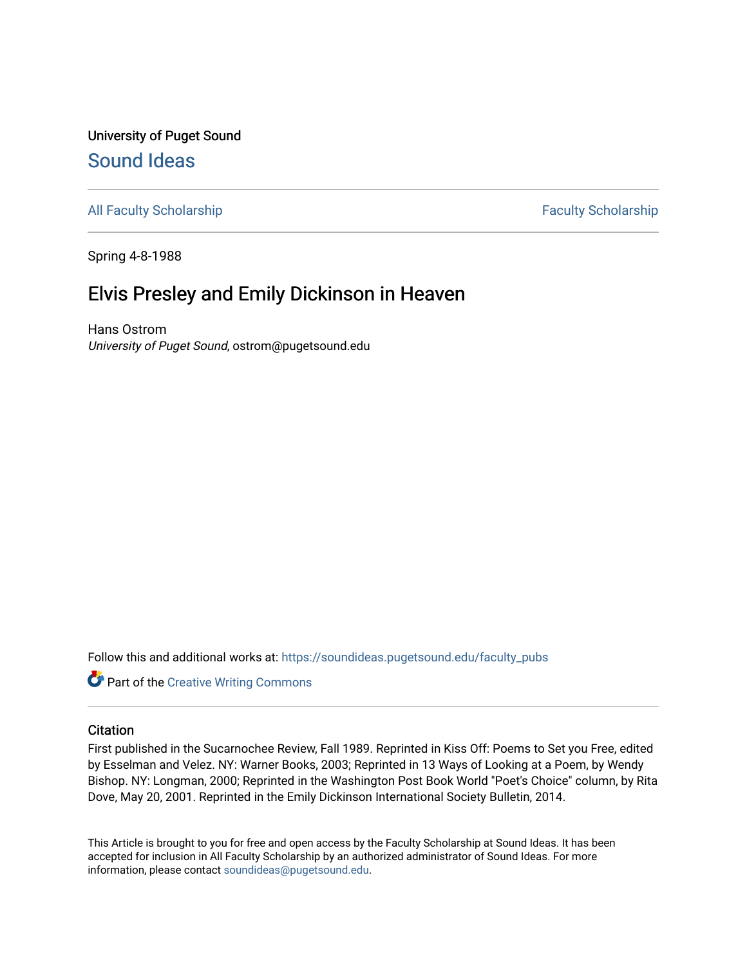## University of Puget Sound [Sound Ideas](https://soundideas.pugetsound.edu/)

[All Faculty Scholarship](https://soundideas.pugetsound.edu/faculty_pubs) **Faculty Scholarship** Faculty Scholarship

Spring 4-8-1988

## Elvis Presley and Emily Dickinson in Heaven

Hans Ostrom University of Puget Sound, ostrom@pugetsound.edu

Follow this and additional works at: [https://soundideas.pugetsound.edu/faculty\\_pubs](https://soundideas.pugetsound.edu/faculty_pubs?utm_source=soundideas.pugetsound.edu%2Ffaculty_pubs%2F3387&utm_medium=PDF&utm_campaign=PDFCoverPages) 

Part of the [Creative Writing Commons](https://network.bepress.com/hgg/discipline/574?utm_source=soundideas.pugetsound.edu%2Ffaculty_pubs%2F3387&utm_medium=PDF&utm_campaign=PDFCoverPages) 

## **Citation**

First published in the Sucarnochee Review, Fall 1989. Reprinted in Kiss Off: Poems to Set you Free, edited by Esselman and Velez. NY: Warner Books, 2003; Reprinted in 13 Ways of Looking at a Poem, by Wendy Bishop. NY: Longman, 2000; Reprinted in the Washington Post Book World "Poet's Choice" column, by Rita Dove, May 20, 2001. Reprinted in the Emily Dickinson International Society Bulletin, 2014.

This Article is brought to you for free and open access by the Faculty Scholarship at Sound Ideas. It has been accepted for inclusion in All Faculty Scholarship by an authorized administrator of Sound Ideas. For more information, please contact [soundideas@pugetsound.edu.](mailto:soundideas@pugetsound.edu)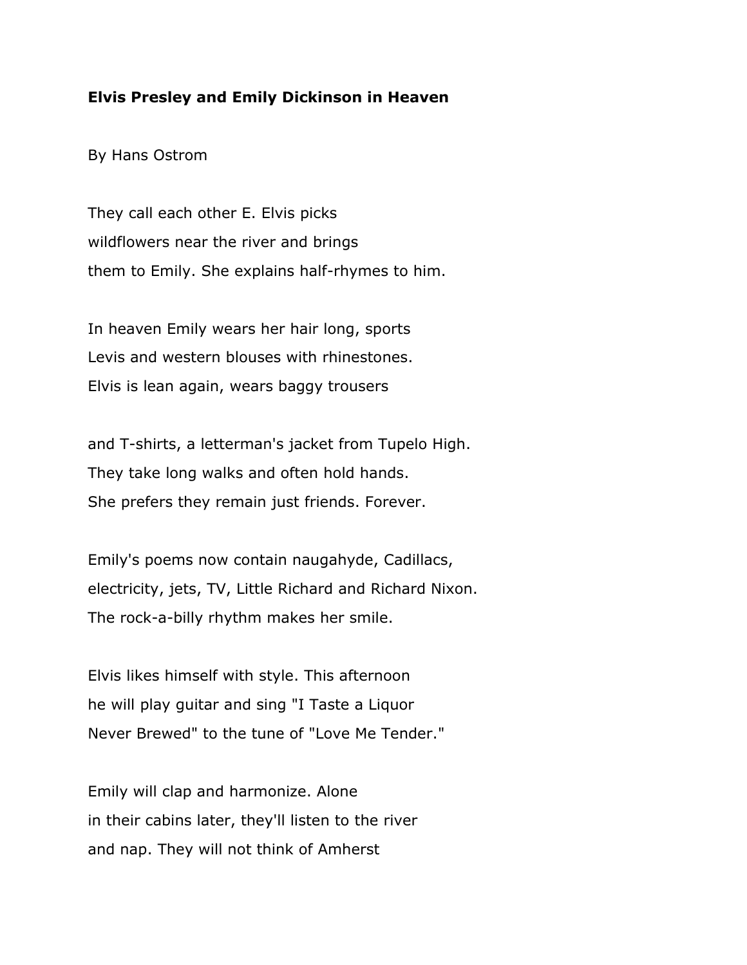## **Elvis Presley and Emily Dickinson in Heaven**

By Hans Ostrom

They call each other E. Elvis picks wildflowers near the river and brings them to Emily. She explains half-rhymes to him.

In heaven Emily wears her hair long, sports Levis and western blouses with rhinestones. Elvis is lean again, wears baggy trousers

and T-shirts, a letterman's jacket from Tupelo High. They take long walks and often hold hands. She prefers they remain just friends. Forever.

Emily's poems now contain naugahyde, Cadillacs, electricity, jets, TV, Little Richard and Richard Nixon. The rock-a-billy rhythm makes her smile.

Elvis likes himself with style. This afternoon he will play guitar and sing "I Taste a Liquor Never Brewed" to the tune of "Love Me Tender."

Emily will clap and harmonize. Alone in their cabins later, they'll listen to the river and nap. They will not think of Amherst